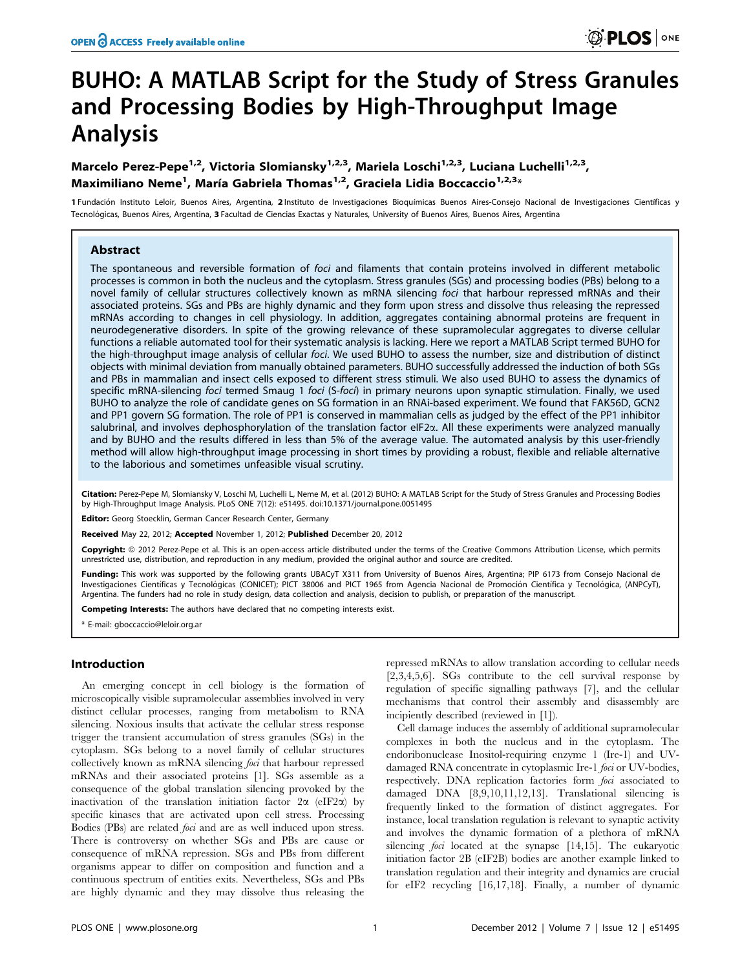# BUHO: A MATLAB Script for the Study of Stress Granules and Processing Bodies by High-Throughput Image Analysis

## Marcelo Perez-Pepe<sup>1,2</sup>, Victoria Slomiansky<sup>1,2,3</sup>, Mariela Loschi<sup>1,2,3</sup>, Luciana Luchelli<sup>1,2,3</sup>, Maximiliano Neme<sup>1</sup>, María Gabriela Thomas<sup>1,2</sup>, Graciela Lidia Boccaccio<sup>1,2,3</sup>\*

1 Fundación Instituto Leloir, Buenos Aires, Argentina, 2 Instituto de Investigaciones Bioquímicas Buenos Aires-Consejo Nacional de Investigaciones Científicas y Tecnológicas, Buenos Aires, Argentina, 3 Facultad de Ciencias Exactas y Naturales, University of Buenos Aires, Buenos Aires, Argentina

## Abstract

The spontaneous and reversible formation of foci and filaments that contain proteins involved in different metabolic processes is common in both the nucleus and the cytoplasm. Stress granules (SGs) and processing bodies (PBs) belong to a novel family of cellular structures collectively known as mRNA silencing foci that harbour repressed mRNAs and their associated proteins. SGs and PBs are highly dynamic and they form upon stress and dissolve thus releasing the repressed mRNAs according to changes in cell physiology. In addition, aggregates containing abnormal proteins are frequent in neurodegenerative disorders. In spite of the growing relevance of these supramolecular aggregates to diverse cellular functions a reliable automated tool for their systematic analysis is lacking. Here we report a MATLAB Script termed BUHO for the high-throughput image analysis of cellular foci. We used BUHO to assess the number, size and distribution of distinct objects with minimal deviation from manually obtained parameters. BUHO successfully addressed the induction of both SGs and PBs in mammalian and insect cells exposed to different stress stimuli. We also used BUHO to assess the dynamics of specific mRNA-silencing foci termed Smaug 1 foci (S-foci) in primary neurons upon synaptic stimulation. Finally, we used BUHO to analyze the role of candidate genes on SG formation in an RNAi-based experiment. We found that FAK56D, GCN2 and PP1 govern SG formation. The role of PP1 is conserved in mammalian cells as judged by the effect of the PP1 inhibitor salubrinal, and involves dephosphorylation of the translation factor eIF2 $\alpha$ . All these experiments were analyzed manually and by BUHO and the results differed in less than 5% of the average value. The automated analysis by this user-friendly method will allow high-throughput image processing in short times by providing a robust, flexible and reliable alternative to the laborious and sometimes unfeasible visual scrutiny.

Citation: Perez-Pepe M, Slomiansky V, Loschi M, Luchelli L, Neme M, et al. (2012) BUHO: A MATLAB Script for the Study of Stress Granules and Processing Bodies by High-Throughput Image Analysis. PLoS ONE 7(12): e51495. doi:10.1371/journal.pone.0051495

Editor: Georg Stoecklin, German Cancer Research Center, Germany

Received May 22, 2012; Accepted November 1, 2012; Published December 20, 2012

Copyright: © 2012 Perez-Pepe et al. This is an open-access article distributed under the terms of the Creative Commons Attribution License, which permits unrestricted use, distribution, and reproduction in any medium, provided the original author and source are credited.

Funding: This work was supported by the following grants UBACyT X311 from University of Buenos Aires, Argentina; PIP 6173 from Consejo Nacional de Investigaciones Científicas y Tecnológicas (CONICET); PICT 38006 and PICT 1965 from Agencia Nacional de Promoción Científica y Tecnológica, (ANPCyT), Argentina. The funders had no role in study design, data collection and analysis, decision to publish, or preparation of the manuscript.

Competing Interests: The authors have declared that no competing interests exist.

\* E-mail: gboccaccio@leloir.org.ar

#### Introduction

An emerging concept in cell biology is the formation of microscopically visible supramolecular assemblies involved in very distinct cellular processes, ranging from metabolism to RNA silencing. Noxious insults that activate the cellular stress response trigger the transient accumulation of stress granules (SGs) in the cytoplasm. SGs belong to a novel family of cellular structures collectively known as mRNA silencing foci that harbour repressed mRNAs and their associated proteins [1]. SGs assemble as a consequence of the global translation silencing provoked by the inactivation of the translation initiation factor  $2\alpha$  (eIF2 $\alpha$ ) by specific kinases that are activated upon cell stress. Processing Bodies (PBs) are related *foci* and are as well induced upon stress. There is controversy on whether SGs and PBs are cause or consequence of mRNA repression. SGs and PBs from different organisms appear to differ on composition and function and a continuous spectrum of entities exits. Nevertheless, SGs and PBs are highly dynamic and they may dissolve thus releasing the

repressed mRNAs to allow translation according to cellular needs [2,3,4,5,6]. SGs contribute to the cell survival response by regulation of specific signalling pathways [7], and the cellular mechanisms that control their assembly and disassembly are incipiently described (reviewed in [1]).

Cell damage induces the assembly of additional supramolecular complexes in both the nucleus and in the cytoplasm. The endoribonuclease Inositol-requiring enzyme 1 (Ire-1) and UVdamaged RNA concentrate in cytoplasmic Ire-1 foci or UV-bodies, respectively. DNA replication factories form *foci* associated to damaged DNA [8,9,10,11,12,13]. Translational silencing is frequently linked to the formation of distinct aggregates. For instance, local translation regulation is relevant to synaptic activity and involves the dynamic formation of a plethora of mRNA silencing *foci* located at the synapse [14,15]. The eukaryotic initiation factor 2B (eIF2B) bodies are another example linked to translation regulation and their integrity and dynamics are crucial for eIF2 recycling [16,17,18]. Finally, a number of dynamic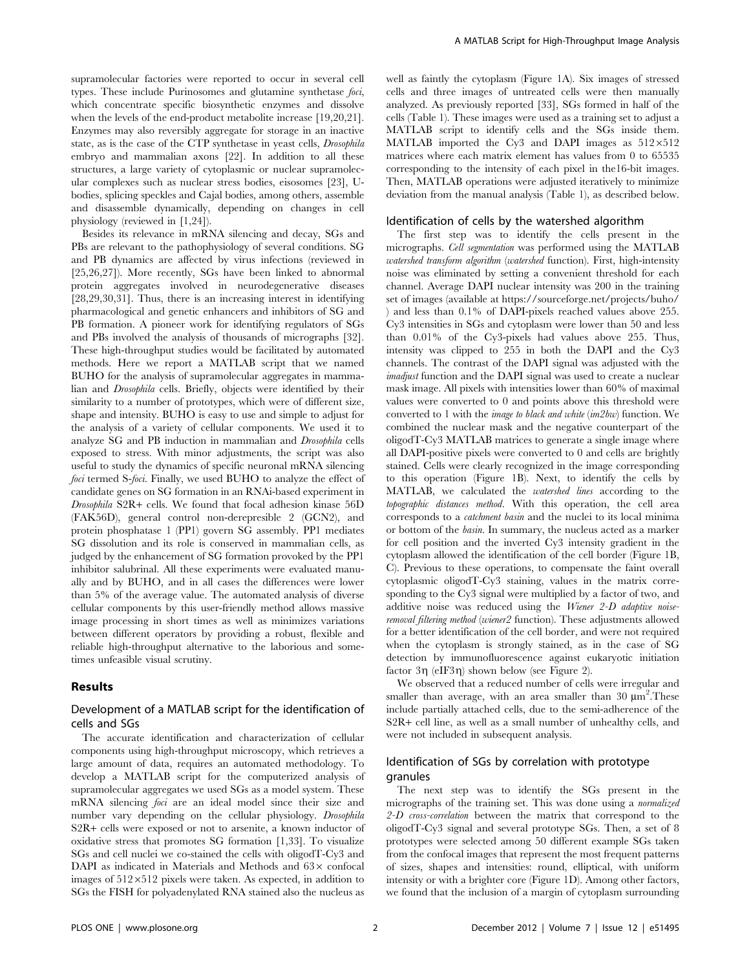supramolecular factories were reported to occur in several cell types. These include Purinosomes and glutamine synthetase foci, which concentrate specific biosynthetic enzymes and dissolve when the levels of the end-product metabolite increase [19,20,21]. Enzymes may also reversibly aggregate for storage in an inactive state, as is the case of the CTP synthetase in yeast cells, Drosophila embryo and mammalian axons [22]. In addition to all these structures, a large variety of cytoplasmic or nuclear supramolecular complexes such as nuclear stress bodies, eisosomes [23], Ubodies, splicing speckles and Cajal bodies, among others, assemble and disassemble dynamically, depending on changes in cell physiology (reviewed in [1,24]).

Besides its relevance in mRNA silencing and decay, SGs and PBs are relevant to the pathophysiology of several conditions. SG and PB dynamics are affected by virus infections (reviewed in [25,26,27]). More recently, SGs have been linked to abnormal protein aggregates involved in neurodegenerative diseases [28,29,30,31]. Thus, there is an increasing interest in identifying pharmacological and genetic enhancers and inhibitors of SG and PB formation. A pioneer work for identifying regulators of SGs and PBs involved the analysis of thousands of micrographs [32]. These high-throughput studies would be facilitated by automated methods. Here we report a MATLAB script that we named BUHO for the analysis of supramolecular aggregates in mammalian and Drosophila cells. Briefly, objects were identified by their similarity to a number of prototypes, which were of different size, shape and intensity. BUHO is easy to use and simple to adjust for the analysis of a variety of cellular components. We used it to analyze SG and PB induction in mammalian and Drosophila cells exposed to stress. With minor adjustments, the script was also useful to study the dynamics of specific neuronal mRNA silencing foci termed S-foci. Finally, we used BUHO to analyze the effect of candidate genes on SG formation in an RNAi-based experiment in Drosophila S2R+ cells. We found that focal adhesion kinase 56D (FAK56D), general control non-derepresible 2 (GCN2), and protein phosphatase 1 (PP1) govern SG assembly. PP1 mediates SG dissolution and its role is conserved in mammalian cells, as judged by the enhancement of SG formation provoked by the PP1 inhibitor salubrinal. All these experiments were evaluated manually and by BUHO, and in all cases the differences were lower than 5% of the average value. The automated analysis of diverse cellular components by this user-friendly method allows massive image processing in short times as well as minimizes variations between different operators by providing a robust, flexible and reliable high-throughput alternative to the laborious and sometimes unfeasible visual scrutiny.

#### Results

## Development of a MATLAB script for the identification of cells and SGs

The accurate identification and characterization of cellular components using high-throughput microscopy, which retrieves a large amount of data, requires an automated methodology. To develop a MATLAB script for the computerized analysis of supramolecular aggregates we used SGs as a model system. These mRNA silencing foci are an ideal model since their size and number vary depending on the cellular physiology. Drosophila S2R+ cells were exposed or not to arsenite, a known inductor of oxidative stress that promotes SG formation [1,33]. To visualize SGs and cell nuclei we co-stained the cells with oligodT-Cy3 and DAPI as indicated in Materials and Methods and  $63\times$  confocal images of  $512\times512$  pixels were taken. As expected, in addition to SGs the FISH for polyadenylated RNA stained also the nucleus as well as faintly the cytoplasm (Figure 1A). Six images of stressed cells and three images of untreated cells were then manually analyzed. As previously reported [33], SGs formed in half of the cells (Table 1). These images were used as a training set to adjust a MATLAB script to identify cells and the SGs inside them. MATLAB imported the Cy3 and DAPI images as  $512\times512$ matrices where each matrix element has values from 0 to 65535 corresponding to the intensity of each pixel in the16-bit images. Then, MATLAB operations were adjusted iteratively to minimize deviation from the manual analysis (Table 1), as described below.

#### Identification of cells by the watershed algorithm

The first step was to identify the cells present in the micrographs. Cell segmentation was performed using the MATLAB watershed transform algorithm (watershed function). First, high-intensity noise was eliminated by setting a convenient threshold for each channel. Average DAPI nuclear intensity was 200 in the training set of images (available at https://sourceforge.net/projects/buho/ ) and less than 0.1% of DAPI-pixels reached values above 255. Cy3 intensities in SGs and cytoplasm were lower than 50 and less than 0.01% of the Cy3-pixels had values above 255. Thus, intensity was clipped to 255 in both the DAPI and the Cy3 channels. The contrast of the DAPI signal was adjusted with the imadjust function and the DAPI signal was used to create a nuclear mask image. All pixels with intensities lower than 60% of maximal values were converted to 0 and points above this threshold were converted to 1 with the image to black and white (im2bw) function. We combined the nuclear mask and the negative counterpart of the oligodT-Cy3 MATLAB matrices to generate a single image where all DAPI-positive pixels were converted to 0 and cells are brightly stained. Cells were clearly recognized in the image corresponding to this operation (Figure 1B). Next, to identify the cells by MATLAB, we calculated the watershed lines according to the topographic distances method. With this operation, the cell area corresponds to a catchment basin and the nuclei to its local minima or bottom of the basin. In summary, the nucleus acted as a marker for cell position and the inverted Cy3 intensity gradient in the cytoplasm allowed the identification of the cell border (Figure 1B, C). Previous to these operations, to compensate the faint overall cytoplasmic oligodT-Cy3 staining, values in the matrix corresponding to the Cy3 signal were multiplied by a factor of two, and additive noise was reduced using the Wiener 2-D adaptive noiseremoval filtering method (wiener2 function). These adjustments allowed for a better identification of the cell border, and were not required when the cytoplasm is strongly stained, as in the case of SG detection by immunofluorescence against eukaryotic initiation factor  $3\eta$  (eIF3 $\eta$ ) shown below (see Figure 2).

We observed that a reduced number of cells were irregular and smaller than average, with an area smaller than  $30 \mu m^2$ . These include partially attached cells, due to the semi-adherence of the S2R+ cell line, as well as a small number of unhealthy cells, and were not included in subsequent analysis.

## Identification of SGs by correlation with prototype granules

The next step was to identify the SGs present in the micrographs of the training set. This was done using a normalized 2-D cross-correlation between the matrix that correspond to the oligodT-Cy3 signal and several prototype SGs. Then, a set of 8 prototypes were selected among 50 different example SGs taken from the confocal images that represent the most frequent patterns of sizes, shapes and intensities: round, elliptical, with uniform intensity or with a brighter core (Figure 1D). Among other factors, we found that the inclusion of a margin of cytoplasm surrounding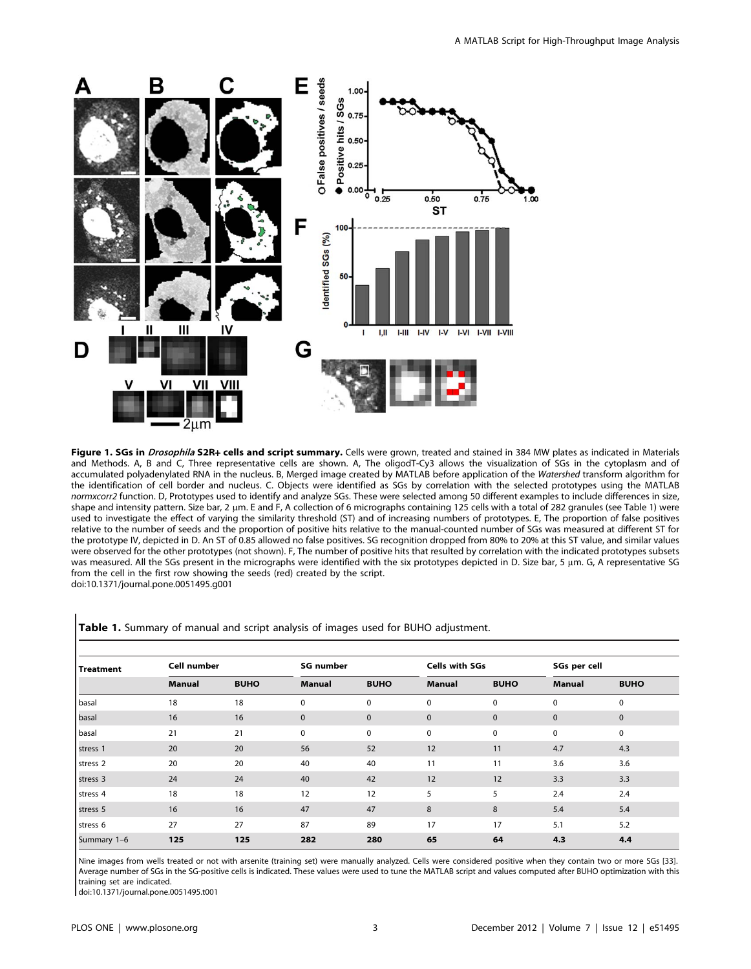

Figure 1. SGs in *Drosophila* S2R+ cells and script summary. Cells were grown, treated and stained in 384 MW plates as indicated in Materials and Methods. A, B and C, Three representative cells are shown. A, The oligodT-Cy3 allows the visualization of SGs in the cytoplasm and of accumulated polyadenylated RNA in the nucleus. B, Merged image created by MATLAB before application of the Watershed transform algorithm for the identification of cell border and nucleus. C. Objects were identified as SGs by correlation with the selected prototypes using the MATLAB normxcorr2 function. D, Prototypes used to identify and analyze SGs. These were selected among 50 different examples to include differences in size, shape and intensity pattern. Size bar, 2 µm. E and F, A collection of 6 micrographs containing 125 cells with a total of 282 granules (see Table 1) were used to investigate the effect of varying the similarity threshold (ST) and of increasing numbers of prototypes. E, The proportion of false positives relative to the number of seeds and the proportion of positive hits relative to the manual-counted number of SGs was measured at different ST for the prototype IV, depicted in D. An ST of 0.85 allowed no false positives. SG recognition dropped from 80% to 20% at this ST value, and similar values were observed for the other prototypes (not shown). F, The number of positive hits that resulted by correlation with the indicated prototypes subsets was measured. All the SGs present in the micrographs were identified with the six prototypes depicted in D. Size bar, 5 µm. G, A representative SG from the cell in the first row showing the seeds (red) created by the script. doi:10.1371/journal.pone.0051495.g001

| <b>Treatment</b> | Cell number   |             | <b>SG number</b> |             | Cells with SGs |             | SGs per cell  |             |
|------------------|---------------|-------------|------------------|-------------|----------------|-------------|---------------|-------------|
|                  | <b>Manual</b> | <b>BUHO</b> | Manual           | <b>BUHO</b> | <b>Manual</b>  | <b>BUHO</b> | <b>Manual</b> | <b>BUHO</b> |
| basal            | 18            | 18          | $\mathbf 0$      | 0           | $\mathbf 0$    | $\mathbf 0$ | $\mathbf 0$   | $\mathbf 0$ |
| basal            | 16            | 16          | $\mathbf 0$      | $\mathbf 0$ | $\mathbf{0}$   | $\mathbf 0$ | $\mathbf 0$   | $\mathbf 0$ |
| basal            | 21            | 21          | $\mathbf 0$      | 0           | $\mathbf 0$    | $\pmb{0}$   | 0             | $\mathbf 0$ |
| stress 1         | 20            | 20          | 56               | 52          | 12             | 11          | 4.7           | 4.3         |
| stress 2         | 20            | 20          | 40               | 40          | 11             | 11          | 3.6           | 3.6         |
| stress 3         | 24            | 24          | 40               | 42          | 12             | 12          | 3.3           | 3.3         |
| stress 4         | 18            | 18          | 12               | 12          | 5              | 5           | 2.4           | 2.4         |
| stress 5         | 16            | 16          | 47               | 47          | 8              | 8           | 5.4           | 5.4         |
| stress 6         | 27            | 27          | 87               | 89          | 17             | 17          | 5.1           | 5.2         |
| Summary 1-6      | 125           | 125         | 282              | 280         | 65             | 64          | 4.3           | 4,4         |

Table 1. Summary of manual and script analysis of images used for BUHO adjustment.

Nine images from wells treated or not with arsenite (training set) were manually analyzed. Cells were considered positive when they contain two or more SGs [33]. Average number of SGs in the SG-positive cells is indicated. These values were used to tune the MATLAB script and values computed after BUHO optimization with this training set are indicated.

doi:10.1371/journal.pone.0051495.t001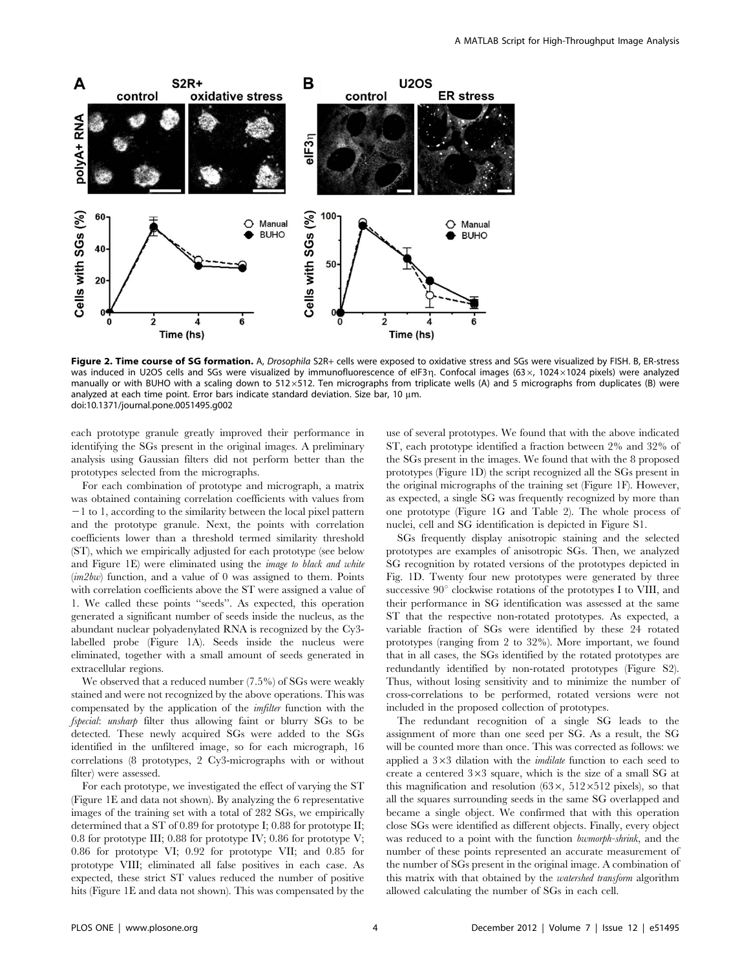

Figure 2. Time course of SG formation. A, Drosophila S2R+ cells were exposed to oxidative stress and SGs were visualized by FISH. B, ER-stress was induced in U2OS cells and SGs were visualized by immunofluorescence of eIF3n. Confocal images (63 $\times$ , 1024 $\times$ 1024 pixels) were analyzed manually or with BUHO with a scaling down to  $512\times512$ . Ten micrographs from triplicate wells (A) and 5 micrographs from duplicates (B) were analyzed at each time point. Error bars indicate standard deviation. Size bar, 10 µm. doi:10.1371/journal.pone.0051495.g002

each prototype granule greatly improved their performance in identifying the SGs present in the original images. A preliminary analysis using Gaussian filters did not perform better than the prototypes selected from the micrographs.

For each combination of prototype and micrograph, a matrix was obtained containing correlation coefficients with values from  $-1$  to 1, according to the similarity between the local pixel pattern and the prototype granule. Next, the points with correlation coefficients lower than a threshold termed similarity threshold (ST), which we empirically adjusted for each prototype (see below and Figure 1E) were eliminated using the image to black and white  $(im2bw)$  function, and a value of 0 was assigned to them. Points with correlation coefficients above the ST were assigned a value of 1. We called these points ''seeds''. As expected, this operation generated a significant number of seeds inside the nucleus, as the abundant nuclear polyadenylated RNA is recognized by the Cy3 labelled probe (Figure 1A). Seeds inside the nucleus were eliminated, together with a small amount of seeds generated in extracellular regions.

We observed that a reduced number (7.5%) of SGs were weakly stained and were not recognized by the above operations. This was compensated by the application of the imfilter function with the fspecial: unsharp filter thus allowing faint or blurry SGs to be detected. These newly acquired SGs were added to the SGs identified in the unfiltered image, so for each micrograph, 16 correlations (8 prototypes, 2 Cy3-micrographs with or without filter) were assessed.

For each prototype, we investigated the effect of varying the ST (Figure 1E and data not shown). By analyzing the 6 representative images of the training set with a total of 282 SGs, we empirically determined that a ST of 0.89 for prototype I; 0.88 for prototype II; 0.8 for prototype III; 0.88 for prototype IV; 0.86 for prototype V; 0.86 for prototype VI; 0.92 for prototype VII; and 0.85 for prototype VIII; eliminated all false positives in each case. As expected, these strict ST values reduced the number of positive hits (Figure 1E and data not shown). This was compensated by the use of several prototypes. We found that with the above indicated ST, each prototype identified a fraction between 2% and 32% of the SGs present in the images. We found that with the 8 proposed prototypes (Figure 1D) the script recognized all the SGs present in the original micrographs of the training set (Figure 1F). However, as expected, a single SG was frequently recognized by more than one prototype (Figure 1G and Table 2). The whole process of nuclei, cell and SG identification is depicted in Figure S1.

SGs frequently display anisotropic staining and the selected prototypes are examples of anisotropic SGs. Then, we analyzed SG recognition by rotated versions of the prototypes depicted in Fig. 1D. Twenty four new prototypes were generated by three successive  $90^{\circ}$  clockwise rotations of the prototypes I to VIII, and their performance in SG identification was assessed at the same ST that the respective non-rotated prototypes. As expected, a variable fraction of SGs were identified by these 24 rotated prototypes (ranging from 2 to 32%). More important, we found that in all cases, the SGs identified by the rotated prototypes are redundantly identified by non-rotated prototypes (Figure S2). Thus, without losing sensitivity and to minimize the number of cross-correlations to be performed, rotated versions were not included in the proposed collection of prototypes.

The redundant recognition of a single SG leads to the assignment of more than one seed per SG. As a result, the SG will be counted more than once. This was corrected as follows: we applied a  $3\times3$  dilation with the *imdilate* function to each seed to create a centered  $3\times3$  square, which is the size of a small SG at this magnification and resolution  $(63 \times, 512 \times 512)$  pixels), so that all the squares surrounding seeds in the same SG overlapped and became a single object. We confirmed that with this operation close SGs were identified as different objects. Finally, every object was reduced to a point with the function *bwmorph-shrink*, and the number of these points represented an accurate measurement of the number of SGs present in the original image. A combination of this matrix with that obtained by the watershed transform algorithm allowed calculating the number of SGs in each cell.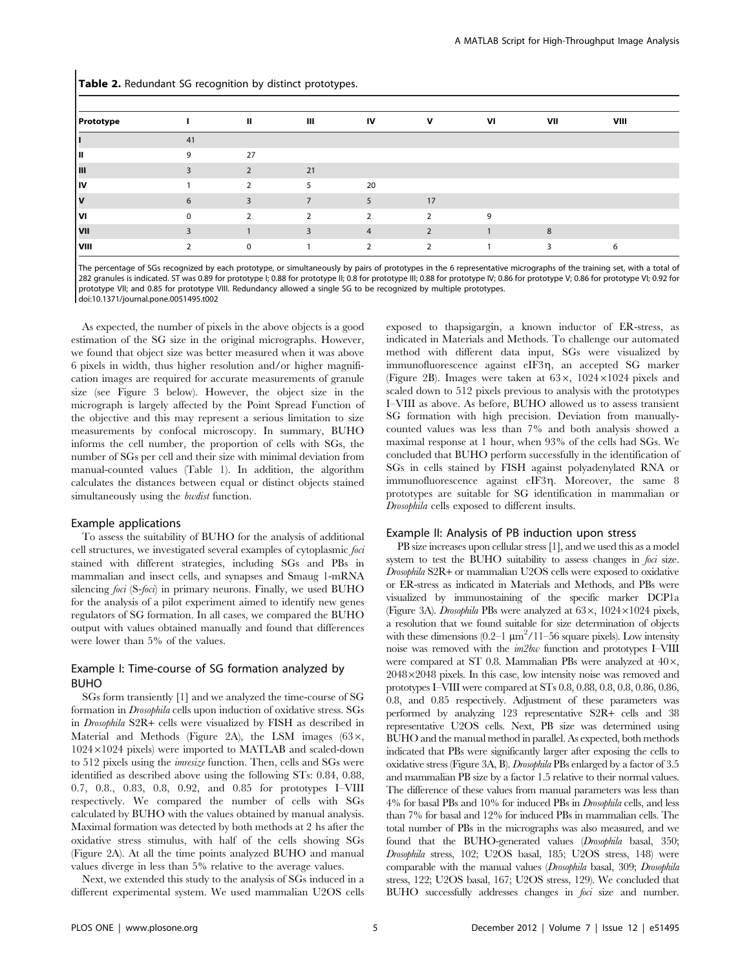Table 2. Redundant SG recognition by distinct prototypes.

| <b>Prototype</b> |    | Ш            | Ш  | IV             | v  | VI | VII | VIII |  |
|------------------|----|--------------|----|----------------|----|----|-----|------|--|
|                  | 41 |              |    |                |    |    |     |      |  |
| ш                | 9  | 27           |    |                |    |    |     |      |  |
| Ш                |    | $\mathbf{D}$ | 21 |                |    |    |     |      |  |
| ١v               |    |              |    | 20             |    |    |     |      |  |
| l۷               | 6  | 3            |    | 5              | 17 |    |     |      |  |
| l٧ι              | 0  | C.           | 2  | $\overline{2}$ | C. | 9  |     |      |  |
| VII              |    |              |    | 4              |    |    | 8   |      |  |
| VIII             |    | $\Omega$     |    |                |    |    | २   | 6    |  |

The percentage of SGs recognized by each prototype, or simultaneously by pairs of prototypes in the 6 representative micrographs of the training set, with a total of 282 granules is indicated. ST was 0.89 for prototype I; 0.88 for prototype II; 0.8 for prototype III; 0.88 for prototype IV; 0.86 for prototype V; 0.86 for prototype VI; 0.92 for prototype VII; and 0.85 for prototype VIII. Redundancy allowed a single SG to be recognized by multiple prototypes. doi:10.1371/journal.pone.0051495.t002

As expected, the number of pixels in the above objects is a good estimation of the SG size in the original micrographs. However, we found that object size was better measured when it was above 6 pixels in width, thus higher resolution and/or higher magnification images are required for accurate measurements of granule size (see Figure 3 below). However, the object size in the micrograph is largely affected by the Point Spread Function of the objective and this may represent a serious limitation to size measurements by confocal microscopy. In summary, BUHO informs the cell number, the proportion of cells with SGs, the number of SGs per cell and their size with minimal deviation from manual-counted values (Table 1). In addition, the algorithm calculates the distances between equal or distinct objects stained simultaneously using the *bwdist* function.

#### Example applications

To assess the suitability of BUHO for the analysis of additional cell structures, we investigated several examples of cytoplasmic foci stained with different strategies, including SGs and PBs in mammalian and insect cells, and synapses and Smaug 1-mRNA silencing *foci* (S-*foci*) in primary neurons. Finally, we used BUHO for the analysis of a pilot experiment aimed to identify new genes regulators of SG formation. In all cases, we compared the BUHO output with values obtained manually and found that differences were lower than 5% of the values.

## Example I: Time-course of SG formation analyzed by BUHO

SGs form transiently [1] and we analyzed the time-course of SG formation in Drosophila cells upon induction of oxidative stress. SGs in Drosophila S2R+ cells were visualized by FISH as described in Material and Methods (Figure 2A), the LSM images  $(63 \times,$  $1024\times1024$  pixels) were imported to MATLAB and scaled-down to 512 pixels using the imresize function. Then, cells and SGs were identified as described above using the following STs: 0.84, 0.88, 0.7, 0.8., 0.83, 0.8, 0.92, and 0.85 for prototypes I–VIII respectively. We compared the number of cells with SGs calculated by BUHO with the values obtained by manual analysis. Maximal formation was detected by both methods at 2 hs after the oxidative stress stimulus, with half of the cells showing SGs (Figure 2A). At all the time points analyzed BUHO and manual values diverge in less than 5% relative to the average values.

Next, we extended this study to the analysis of SGs induced in a different experimental system. We used mammalian U2OS cells

exposed to thapsigargin, a known inductor of ER-stress, as indicated in Materials and Methods. To challenge our automated method with different data input, SGs were visualized by immunofluorescence against eIF3 $\eta$ , an accepted SG marker (Figure 2B). Images were taken at  $63 \times$ ,  $1024 \times 1024$  pixels and scaled down to 512 pixels previous to analysis with the prototypes I–VIII as above. As before, BUHO allowed us to assess transient SG formation with high precision. Deviation from manuallycounted values was less than 7% and both analysis showed a maximal response at 1 hour, when 93% of the cells had SGs. We concluded that BUHO perform successfully in the identification of SGs in cells stained by FISH against polyadenylated RNA or immunofluorescence against eIF3g. Moreover, the same 8 prototypes are suitable for SG identification in mammalian or Drosophila cells exposed to different insults.

#### Example II: Analysis of PB induction upon stress

PB size increases upon cellular stress [1], and we used this as a model system to test the BUHO suitability to assess changes in *foci* size. Drosophila S2R+ or mammalian U2OS cells were exposed to oxidative or ER-stress as indicated in Materials and Methods, and PBs were visualized by immunostaining of the specific marker DCP1a (Figure 3A). Drosophila PBs were analyzed at  $63 \times$ ,  $1024 \times 1024$  pixels, a resolution that we found suitable for size determination of objects with these dimensions  $(0.2-1 \ \mu m^2/11-56 \ \text{square pixels})$ . Low intensity noise was removed with the im2bw function and prototypes I–VIII were compared at ST 0.8. Mammalian PBs were analyzed at  $40\times$ ,  $2048\times2048$  pixels. In this case, low intensity noise was removed and prototypes I–VIII were compared at STs 0.8, 0.88, 0.8, 0.8, 0.86, 0.86, 0.8, and 0.85 respectively. Adjustment of these parameters was performed by analyzing 123 representative S2R+ cells and 38 representative U2OS cells. Next, PB size was determined using BUHO and the manual method in parallel. As expected, both methods indicated that PBs were significantly larger after exposing the cells to oxidative stress (Figure 3A, B). Drosophila PBs enlarged by a factor of 3.5 and mammalian PB size by a factor 1.5 relative to their normal values. The difference of these values from manual parameters was less than 4% for basal PBs and 10% for induced PBs in Drosophila cells, and less than 7% for basal and 12% for induced PBs in mammalian cells. The total number of PBs in the micrographs was also measured, and we found that the BUHO-generated values (Drosophila basal, 350; Drosophila stress, 102; U2OS basal, 185; U2OS stress, 148) were comparable with the manual values (Drosophila basal, 309; Drosophila stress, 122; U2OS basal, 167; U2OS stress, 129). We concluded that BUHO successfully addresses changes in *foci* size and number.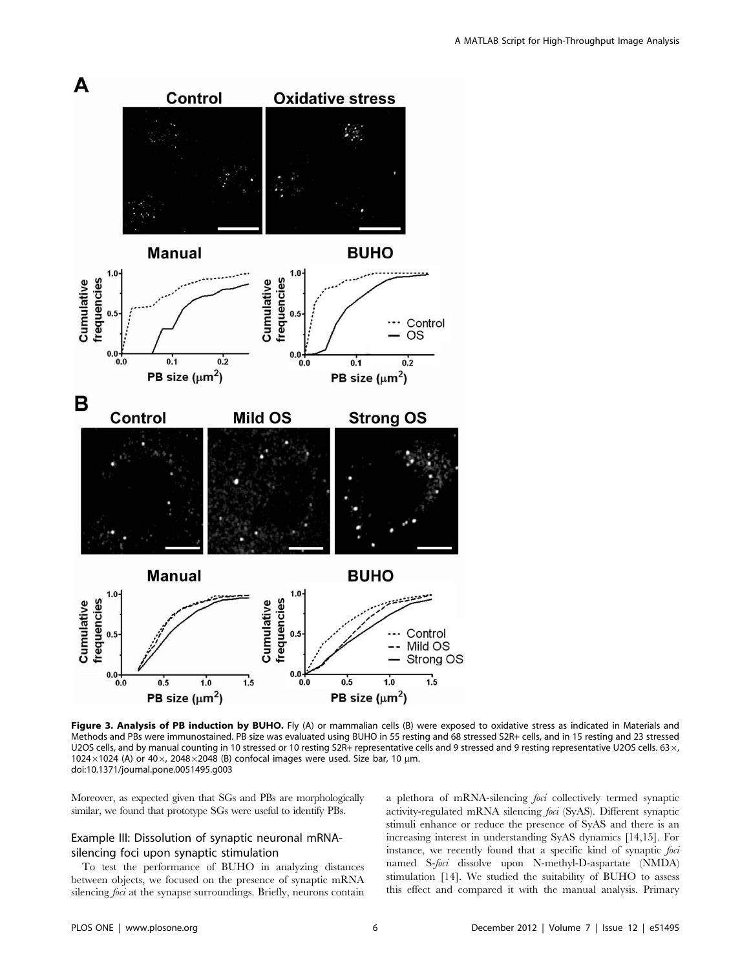

Figure 3. Analysis of PB induction by BUHO. Fly (A) or mammalian cells (B) were exposed to oxidative stress as indicated in Materials and Methods and PBs were immunostained. PB size was evaluated using BUHO in 55 resting and 68 stressed S2R+ cells, and in 15 resting and 23 stressed U2OS cells, and by manual counting in 10 stressed or 10 resting S2R+ representative cells and 9 stressed and 9 resting representative U2OS cells. 63  $\times$ , 1024 $\times$ 1024 (A) or 40 $\times$ , 2048 $\times$ 2048 (B) confocal images were used. Size bar, 10 µm. doi:10.1371/journal.pone.0051495.g003

Moreover, as expected given that SGs and PBs are morphologically similar, we found that prototype SGs were useful to identify PBs.

## Example III: Dissolution of synaptic neuronal mRNAsilencing foci upon synaptic stimulation

To test the performance of BUHO in analyzing distances between objects, we focused on the presence of synaptic mRNA silencing *foci* at the synapse surroundings. Briefly, neurons contain a plethora of mRNA-silencing foci collectively termed synaptic activity-regulated mRNA silencing foci (SyAS). Different synaptic stimuli enhance or reduce the presence of SyAS and there is an increasing interest in understanding SyAS dynamics [14,15]. For instance, we recently found that a specific kind of synaptic foci named S-foci dissolve upon N-methyl-D-aspartate (NMDA) stimulation [14]. We studied the suitability of BUHO to assess this effect and compared it with the manual analysis. Primary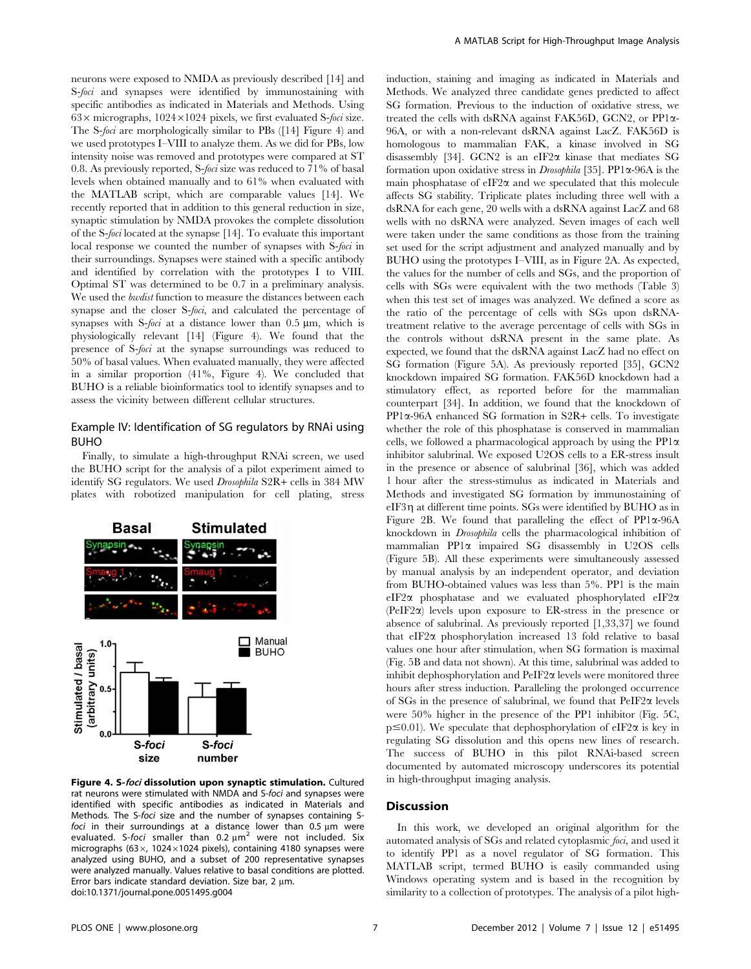neurons were exposed to NMDA as previously described [14] and S-foci and synapses were identified by immunostaining with specific antibodies as indicated in Materials and Methods. Using  $63\times$  micrographs,  $1024\times1024$  pixels, we first evaluated S-foci size. The S-foci are morphologically similar to PBs ([14] Figure 4) and we used prototypes I–VIII to analyze them. As we did for PBs, low intensity noise was removed and prototypes were compared at ST 0.8. As previously reported, S-foci size was reduced to 71% of basal levels when obtained manually and to 61% when evaluated with the MATLAB script, which are comparable values [14]. We recently reported that in addition to this general reduction in size, synaptic stimulation by NMDA provokes the complete dissolution of the S-foci located at the synapse [14]. To evaluate this important local response we counted the number of synapses with S-foci in their surroundings. Synapses were stained with a specific antibody and identified by correlation with the prototypes I to VIII. Optimal ST was determined to be 0.7 in a preliminary analysis. We used the *bwdist* function to measure the distances between each synapse and the closer S-foci, and calculated the percentage of synapses with S-foci at a distance lower than  $0.5 \mu m$ , which is physiologically relevant [14] (Figure 4). We found that the presence of S-foci at the synapse surroundings was reduced to 50% of basal values. When evaluated manually, they were affected in a similar proportion (41%, Figure 4). We concluded that BUHO is a reliable bioinformatics tool to identify synapses and to assess the vicinity between different cellular structures.

## Example IV: Identification of SG regulators by RNAi using BUHO

Finally, to simulate a high-throughput RNAi screen, we used the BUHO script for the analysis of a pilot experiment aimed to identify SG regulators. We used Drosophila S2R+ cells in 384 MW plates with robotized manipulation for cell plating, stress



Figure 4. S-foci dissolution upon synaptic stimulation. Cultured rat neurons were stimulated with NMDA and S-foci and synapses were identified with specific antibodies as indicated in Materials and Methods. The S-foci size and the number of synapses containing Sfoci in their surroundings at a distance lower than  $0.5 \mu m$  were evaluated. S-foci smaller than  $0.2 \mu m^2$  were not included. Six micrographs (63 $\times$ , 1024 $\times$ 1024 pixels), containing 4180 synapses were analyzed using BUHO, and a subset of 200 representative synapses were analyzed manually. Values relative to basal conditions are plotted. Error bars indicate standard deviation. Size bar, 2  $\mu$ m. doi:10.1371/journal.pone.0051495.g004

induction, staining and imaging as indicated in Materials and Methods. We analyzed three candidate genes predicted to affect SG formation. Previous to the induction of oxidative stress, we treated the cells with dsRNA against FAK56D, GCN2, or PP1a-96A, or with a non-relevant dsRNA against LacZ. FAK56D is homologous to mammalian FAK, a kinase involved in SG disassembly [34]. GCN2 is an eIF2 $\alpha$  kinase that mediates SG formation upon oxidative stress in *Drosophila* [35]. PP1 $\alpha$ -96A is the main phosphatase of  $\epsilon$ IF2 $\alpha$  and we speculated that this molecule affects SG stability. Triplicate plates including three well with a dsRNA for each gene, 20 wells with a dsRNA against LacZ and 68 wells with no dsRNA were analyzed. Seven images of each well were taken under the same conditions as those from the training set used for the script adjustment and analyzed manually and by BUHO using the prototypes I–VIII, as in Figure 2A. As expected, the values for the number of cells and SGs, and the proportion of cells with SGs were equivalent with the two methods (Table 3) when this test set of images was analyzed. We defined a score as the ratio of the percentage of cells with SGs upon dsRNAtreatment relative to the average percentage of cells with SGs in the controls without dsRNA present in the same plate. As expected, we found that the dsRNA against LacZ had no effect on SG formation (Figure 5A). As previously reported [35], GCN2 knockdown impaired SG formation. FAK56D knockdown had a stimulatory effect, as reported before for the mammalian counterpart [34]. In addition, we found that the knockdown of PP1a-96A enhanced SG formation in S2R+ cells. To investigate whether the role of this phosphatase is conserved in mammalian cells, we followed a pharmacological approach by using the  $PP1\alpha$ inhibitor salubrinal. We exposed U2OS cells to a ER-stress insult in the presence or absence of salubrinal [36], which was added 1 hour after the stress-stimulus as indicated in Materials and Methods and investigated SG formation by immunostaining of eIF3 $\eta$  at different time points. SGs were identified by BUHO as in Figure 2B. We found that paralleling the effect of  $PP1\alpha-96A$ knockdown in Drosophila cells the pharmacological inhibition of mammalian  $PP1\alpha$  impaired SG disassembly in U2OS cells (Figure 5B). All these experiments were simultaneously assessed by manual analysis by an independent operator, and deviation from BUHO-obtained values was less than 5%. PP1 is the main eIF2 $\alpha$  phosphatase and we evaluated phosphorylated eIF2 $\alpha$ (PeIF2a) levels upon exposure to ER-stress in the presence or absence of salubrinal. As previously reported [1,33,37] we found that  $eIF2\alpha$  phosphorylation increased 13 fold relative to basal values one hour after stimulation, when SG formation is maximal (Fig. 5B and data not shown). At this time, salubrinal was added to inhibit dephosphorylation and  $PeIF2\alpha$  levels were monitored three hours after stress induction. Paralleling the prolonged occurrence of  $SGs$  in the presence of salubrinal, we found that  $PeIF2\alpha$  levels were 50% higher in the presence of the PP1 inhibitor (Fig. 5C,  $p \le 0.01$ ). We speculate that dephosphorylation of eIF2 $\alpha$  is key in regulating SG dissolution and this opens new lines of research. The success of BUHO in this pilot RNAi-based screen documented by automated microscopy underscores its potential in high-throughput imaging analysis.

#### **Discussion**

In this work, we developed an original algorithm for the automated analysis of SGs and related cytoplasmic foci, and used it to identify PP1 as a novel regulator of SG formation. This MATLAB script, termed BUHO is easily commanded using Windows operating system and is based in the recognition by similarity to a collection of prototypes. The analysis of a pilot high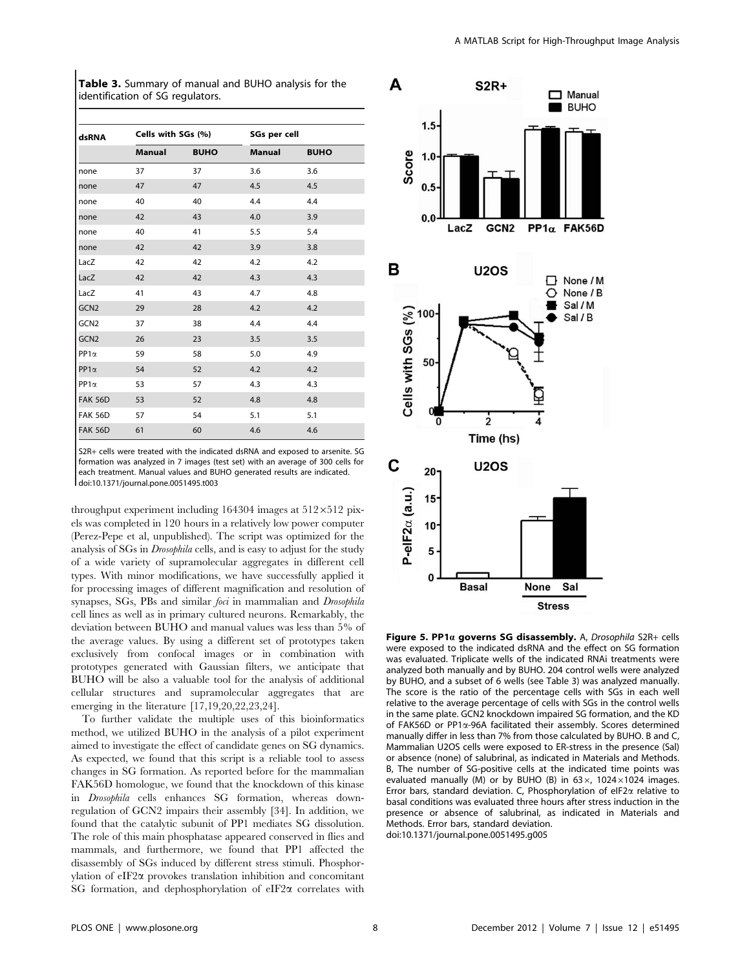Table 3. Summary of manual and BUHO analysis for the identification of SG regulators.

| dsRNA            | Cells with SGs (%) |             |               | SGs per cell |  |  |  |
|------------------|--------------------|-------------|---------------|--------------|--|--|--|
|                  | <b>Manual</b>      | <b>BUHO</b> | <b>Manual</b> | <b>BUHO</b>  |  |  |  |
| none             | 37                 | 37          | 3.6           | 3.6          |  |  |  |
| none             | 47                 | 47          | 4.5           | 4.5          |  |  |  |
| none             | 40                 | 40          | 4.4           | 4.4          |  |  |  |
| none             | 42                 | 43          | 4.0           | 3.9          |  |  |  |
| none             | 40                 | 41          | 5.5           | 5.4          |  |  |  |
| none             | 42                 | 42          | 3.9           | 3.8          |  |  |  |
| LacZ             | 42                 | 42          | 4.2           | 4.2          |  |  |  |
| LacZ             | 42                 | 42          | 4.3           | 4.3          |  |  |  |
| LacZ             | 41                 | 43          | 4.7           | 4.8          |  |  |  |
| GCN <sub>2</sub> | 29                 | 28          | 4.2           | 4.2          |  |  |  |
| GCN <sub>2</sub> | 37                 | 38          | 4.4           | 4.4          |  |  |  |
| GCN <sub>2</sub> | 26                 | 23          | 3.5           | 3.5          |  |  |  |
| $PP1\alpha$      | 59                 | 58          | 5.0           | 4.9          |  |  |  |
| $PP1\alpha$      | 54                 | 52          | 4.2           | 4.2          |  |  |  |
| $PP1\alpha$      | 53                 | 57          | 4.3           | 4.3          |  |  |  |
| <b>FAK 56D</b>   | 53                 | 52          | 4.8           | 4.8          |  |  |  |
| <b>FAK 56D</b>   | 57                 | 54          | 5.1           | 5.1          |  |  |  |
| <b>FAK 56D</b>   | 61                 | 60          | 4.6           | 4.6          |  |  |  |

S2R+ cells were treated with the indicated dsRNA and exposed to arsenite. SG formation was analyzed in 7 images (test set) with an average of 300 cells for each treatment. Manual values and BUHO generated results are indicated. doi:10.1371/journal.pone.0051495.t003

throughput experiment including 164304 images at  $512\times512$  pixels was completed in 120 hours in a relatively low power computer (Perez-Pepe et al, unpublished). The script was optimized for the analysis of SGs in Drosophila cells, and is easy to adjust for the study of a wide variety of supramolecular aggregates in different cell types. With minor modifications, we have successfully applied it for processing images of different magnification and resolution of synapses, SGs, PBs and similar foci in mammalian and Drosophila cell lines as well as in primary cultured neurons. Remarkably, the deviation between BUHO and manual values was less than 5% of the average values. By using a different set of prototypes taken exclusively from confocal images or in combination with prototypes generated with Gaussian filters, we anticipate that BUHO will be also a valuable tool for the analysis of additional cellular structures and supramolecular aggregates that are emerging in the literature [17,19,20,22,23,24].

To further validate the multiple uses of this bioinformatics method, we utilized BUHO in the analysis of a pilot experiment aimed to investigate the effect of candidate genes on SG dynamics. As expected, we found that this script is a reliable tool to assess changes in SG formation. As reported before for the mammalian FAK56D homologue, we found that the knockdown of this kinase in Drosophila cells enhances SG formation, whereas downregulation of GCN2 impairs their assembly [34]. In addition, we found that the catalytic subunit of PP1 mediates SG dissolution. The role of this main phosphatase appeared conserved in flies and mammals, and furthermore, we found that PP1 affected the disassembly of SGs induced by different stress stimuli. Phosphorylation of eIF2a provokes translation inhibition and concomitant SG formation, and dephosphorylation of  $eIF2\alpha$  correlates with



Figure 5. PP1 $\alpha$  governs SG disassembly. A, Drosophila S2R+ cells were exposed to the indicated dsRNA and the effect on SG formation was evaluated. Triplicate wells of the indicated RNAi treatments were analyzed both manually and by BUHO. 204 control wells were analyzed by BUHO, and a subset of 6 wells (see Table 3) was analyzed manually. The score is the ratio of the percentage cells with SGs in each well relative to the average percentage of cells with SGs in the control wells in the same plate. GCN2 knockdown impaired SG formation, and the KD of FAK56D or PP1a-96A facilitated their assembly. Scores determined manually differ in less than 7% from those calculated by BUHO. B and C, Mammalian U2OS cells were exposed to ER-stress in the presence (Sal) or absence (none) of salubrinal, as indicated in Materials and Methods. B, The number of SG-positive cells at the indicated time points was evaluated manually (M) or by BUHO (B) in 63 $\times$ , 1024 $\times$ 1024 images. Error bars, standard deviation. C, Phosphorylation of eIF2 $\alpha$  relative to basal conditions was evaluated three hours after stress induction in the presence or absence of salubrinal, as indicated in Materials and Methods. Error bars, standard deviation. doi:10.1371/journal.pone.0051495.g005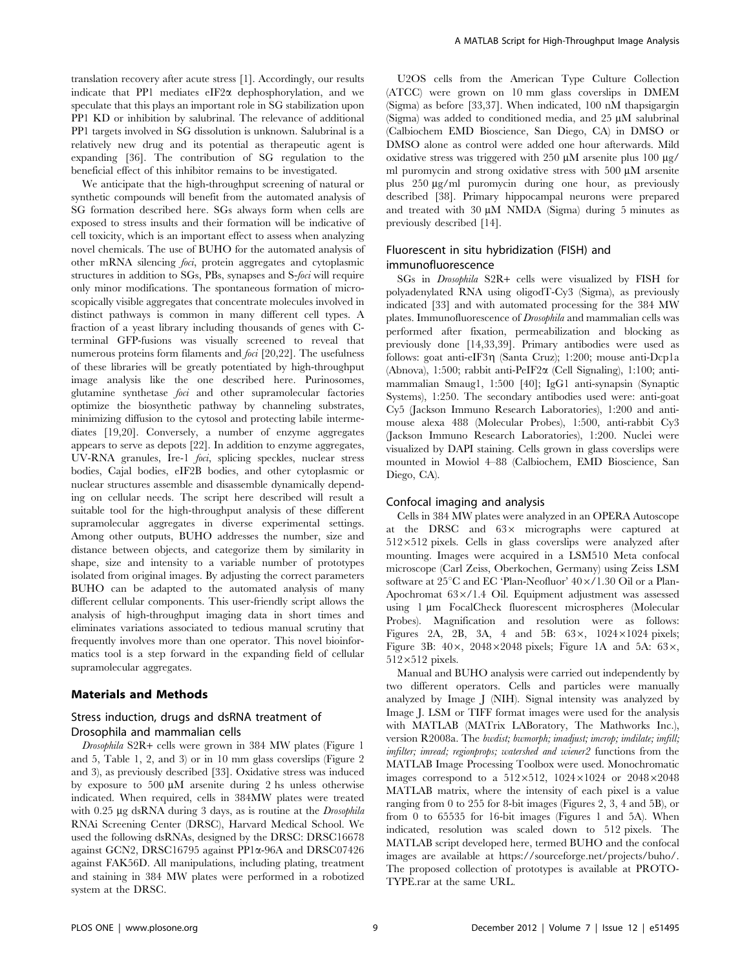translation recovery after acute stress [1]. Accordingly, our results indicate that PP1 mediates  $eIF2\alpha$  dephosphorylation, and we speculate that this plays an important role in SG stabilization upon PP1 KD or inhibition by salubrinal. The relevance of additional PP1 targets involved in SG dissolution is unknown. Salubrinal is a relatively new drug and its potential as therapeutic agent is expanding [36]. The contribution of SG regulation to the beneficial effect of this inhibitor remains to be investigated.

We anticipate that the high-throughput screening of natural or synthetic compounds will benefit from the automated analysis of SG formation described here. SGs always form when cells are exposed to stress insults and their formation will be indicative of cell toxicity, which is an important effect to assess when analyzing novel chemicals. The use of BUHO for the automated analysis of other mRNA silencing foci, protein aggregates and cytoplasmic structures in addition to SGs, PBs, synapses and S-foci will require only minor modifications. The spontaneous formation of microscopically visible aggregates that concentrate molecules involved in distinct pathways is common in many different cell types. A fraction of a yeast library including thousands of genes with Cterminal GFP-fusions was visually screened to reveal that numerous proteins form filaments and foci [20,22]. The usefulness of these libraries will be greatly potentiated by high-throughput image analysis like the one described here. Purinosomes, glutamine synthetase foci and other supramolecular factories optimize the biosynthetic pathway by channeling substrates, minimizing diffusion to the cytosol and protecting labile intermediates [19,20]. Conversely, a number of enzyme aggregates appears to serve as depots [22]. In addition to enzyme aggregates, UV-RNA granules, Ire-1 *foci*, splicing speckles, nuclear stress bodies, Cajal bodies, eIF2B bodies, and other cytoplasmic or nuclear structures assemble and disassemble dynamically depending on cellular needs. The script here described will result a suitable tool for the high-throughput analysis of these different supramolecular aggregates in diverse experimental settings. Among other outputs, BUHO addresses the number, size and distance between objects, and categorize them by similarity in shape, size and intensity to a variable number of prototypes isolated from original images. By adjusting the correct parameters BUHO can be adapted to the automated analysis of many different cellular components. This user-friendly script allows the analysis of high-throughput imaging data in short times and eliminates variations associated to tedious manual scrutiny that frequently involves more than one operator. This novel bioinformatics tool is a step forward in the expanding field of cellular supramolecular aggregates.

#### Materials and Methods

## Stress induction, drugs and dsRNA treatment of Drosophila and mammalian cells

Drosophila S2R+ cells were grown in 384 MW plates (Figure 1 and 5, Table 1, 2, and 3) or in 10 mm glass coverslips (Figure 2 and 3), as previously described [33]. Oxidative stress was induced by exposure to  $500 \mu M$  arsenite during 2 hs unless otherwise indicated. When required, cells in 384MW plates were treated with  $0.25 \mu$ g dsRNA during 3 days, as is routine at the *Drosophila* RNAi Screening Center (DRSC), Harvard Medical School. We used the following dsRNAs, designed by the DRSC: DRSC16678 against GCN2, DRSC16795 against PP1a-96A and DRSC07426 against FAK56D. All manipulations, including plating, treatment and staining in 384 MW plates were performed in a robotized system at the DRSC.

U2OS cells from the American Type Culture Collection (ATCC) were grown on 10 mm glass coverslips in DMEM (Sigma) as before [33,37]. When indicated, 100 nM thapsigargin (Sigma) was added to conditioned media, and  $25 \mu M$  salubrinal (Calbiochem EMD Bioscience, San Diego, CA) in DMSO or DMSO alone as control were added one hour afterwards. Mild oxidative stress was triggered with 250  $\mu$ M arsenite plus 100  $\mu$ g/ ml puromycin and strong oxidative stress with  $500 \mu M$  arsenite plus 250 mg/ml puromycin during one hour, as previously described [38]. Primary hippocampal neurons were prepared and treated with  $30 \mu M$  NMDA (Sigma) during 5 minutes as previously described [14].

### Fluorescent in situ hybridization (FISH) and immunofluorescence

SGs in Drosophila S2R+ cells were visualized by FISH for polyadenylated RNA using oligodT-Cy3 (Sigma), as previously indicated [33] and with automated processing for the 384 MW plates. Immunofluorescence of Drosophila and mammalian cells was performed after fixation, permeabilization and blocking as previously done [14,33,39]. Primary antibodies were used as follows: goat anti-eIF3g (Santa Cruz); 1:200; mouse anti-Dcp1a (Abnova), 1:500; rabbit anti-PeIF2 $\alpha$  (Cell Signaling), 1:100; antimammalian Smaug1, 1:500 [40]; IgG1 anti-synapsin (Synaptic Systems), 1:250. The secondary antibodies used were: anti-goat Cy5 (Jackson Immuno Research Laboratories), 1:200 and antimouse alexa 488 (Molecular Probes), 1:500, anti-rabbit Cy3 (Jackson Immuno Research Laboratories), 1:200. Nuclei were visualized by DAPI staining. Cells grown in glass coverslips were mounted in Mowiol 4–88 (Calbiochem, EMD Bioscience, San Diego, CA).

#### Confocal imaging and analysis

Cells in 384 MW plates were analyzed in an OPERA Autoscope at the DRSC and  $63\times$  micrographs were captured at  $512\times512$  pixels. Cells in glass coverslips were analyzed after mounting. Images were acquired in a LSM510 Meta confocal microscope (Carl Zeiss, Oberkochen, Germany) using Zeiss LSM software at  $25^{\circ}$ C and EC 'Plan-Neofluor'  $40\times/1.30$  Oil or a Plan-Apochromat  $63 \times / 1.4$  Oil. Equipment adjustment was assessed using 1 µm FocalCheck fluorescent microspheres (Molecular Probes). Magnification and resolution were as follows: Figures 2A, 2B, 3A, 4 and 5B:  $63 \times$ ,  $1024 \times 1024$  pixels; Figure 3B:  $40\times$ , 2048×2048 pixels; Figure 1A and 5A: 63×,  $512\times512$  pixels.

Manual and BUHO analysis were carried out independently by two different operators. Cells and particles were manually analyzed by Image J (NIH). Signal intensity was analyzed by Image J. LSM or TIFF format images were used for the analysis with MATLAB (MATrix LABoratory, The Mathworks Inc.), version R2008a. The bwdist; bwmorph; imadjust; imcrop; imdilate; imfill; imfilter; imread; regionprops; watershed and wiener2 functions from the MATLAB Image Processing Toolbox were used. Monochromatic images correspond to a  $512\times512$ ,  $1024\times1024$  or  $2048\times2048$ MATLAB matrix, where the intensity of each pixel is a value ranging from 0 to 255 for 8-bit images (Figures 2, 3, 4 and 5B), or from 0 to 65535 for 16-bit images (Figures 1 and 5A). When indicated, resolution was scaled down to 512 pixels. The MATLAB script developed here, termed BUHO and the confocal images are available at https://sourceforge.net/projects/buho/. The proposed collection of prototypes is available at PROTO-TYPE.rar at the same URL.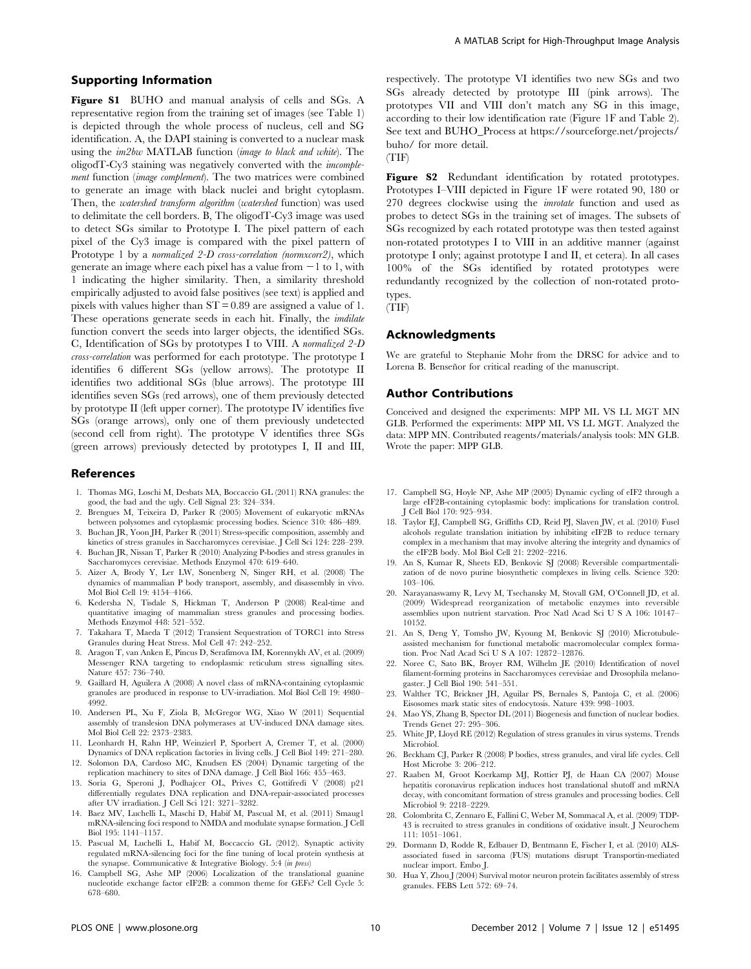#### Supporting Information

Figure S1 BUHO and manual analysis of cells and SGs. A representative region from the training set of images (see Table 1) is depicted through the whole process of nucleus, cell and SG identification. A, the DAPI staining is converted to a nuclear mask using the im2bw MATLAB function (image to black and white). The oligodT-Cy3 staining was negatively converted with the imcomplement function (image complement). The two matrices were combined to generate an image with black nuclei and bright cytoplasm. Then, the watershed transform algorithm (watershed function) was used to delimitate the cell borders. B, The oligodT-Cy3 image was used to detect SGs similar to Prototype I. The pixel pattern of each pixel of the Cy3 image is compared with the pixel pattern of Prototype 1 by a normalized 2-D cross-correlation (normxcorr2), which generate an image where each pixel has a value from  $-1$  to 1, with 1 indicating the higher similarity. Then, a similarity threshold empirically adjusted to avoid false positives (see text) is applied and pixels with values higher than ST = 0.89 are assigned a value of 1. These operations generate seeds in each hit. Finally, the *imdilate* function convert the seeds into larger objects, the identified SGs. C, Identification of SGs by prototypes I to VIII. A normalized 2-D cross-correlation was performed for each prototype. The prototype I identifies 6 different SGs (yellow arrows). The prototype II identifies two additional SGs (blue arrows). The prototype III identifies seven SGs (red arrows), one of them previously detected by prototype II (left upper corner). The prototype IV identifies five SGs (orange arrows), only one of them previously undetected (second cell from right). The prototype V identifies three SGs (green arrows) previously detected by prototypes I, II and III,

#### References

- 1. Thomas MG, Loschi M, Desbats MA, Boccaccio GL (2011) RNA granules: the good, the bad and the ugly. Cell Signal 23: 324–334.
- 2. Brengues M, Teixeira D, Parker R (2005) Movement of eukaryotic mRNAs between polysomes and cytoplasmic processing bodies. Science 310: 486–489.
- 3. Buchan JR, Yoon JH, Parker R (2011) Stress-specific composition, assembly and kinetics of stress granules in Saccharomyces cerevisiae. J Cell Sci 124: 228–239.
- 4. Buchan JR, Nissan T, Parker R (2010) Analyzing P-bodies and stress granules in Saccharomyces cerevisiae. Methods Enzymol 470: 619–640. 5. Aizer A, Brody Y, Ler LW, Sonenberg N, Singer RH, et al. (2008) The
- dynamics of mammalian P body transport, assembly, and disassembly in vivo. Mol Biol Cell 19: 4154–4166.
- 6. Kedersha N, Tisdale S, Hickman T, Anderson P (2008) Real-time and quantitative imaging of mammalian stress granules and processing bodies. Methods Enzymol 448: 521–552.
- 7. Takahara T, Maeda T (2012) Transient Sequestration of TORC1 into Stress Granules during Heat Stress. Mol Cell 47: 242–252.
- 8. Aragon T, van Anken E, Pincus D, Serafimova IM, Korennykh AV, et al. (2009) Messenger RNA targeting to endoplasmic reticulum stress signalling sites. Nature 457: 736–740.
- 9. Gaillard H, Aguilera A (2008) A novel class of mRNA-containing cytoplasmic granules are produced in response to UV-irradiation. Mol Biol Cell 19: 4980– 4992.
- 10. Andersen PL, Xu F, Ziola B, McGregor WG, Xiao W (2011) Sequential assembly of translesion DNA polymerases at UV-induced DNA damage sites. Mol Biol Cell 22: 2373–2383.
- 11. Leonhardt H, Rahn HP, Weinzierl P, Sporbert A, Cremer T, et al. (2000) Dynamics of DNA replication factories in living cells. J Cell Biol 149: 271–280.
- 12. Solomon DA, Cardoso MC, Knudsen ES (2004) Dynamic targeting of the replication machinery to sites of DNA damage. J Cell Biol 166: 455–463.
- 13. Soria G, Speroni J, Podhajcer OL, Prives C, Gottifredi V (2008) p21 differentially regulates DNA replication and DNA-repair-associated processes after UV irradiation. J Cell Sci 121: 3271–3282.
- 14. Baez MV, Luchelli L, Maschi D, Habif M, Pascual M, et al. (2011) Smaug1 mRNA-silencing foci respond to NMDA and modulate synapse formation. J Cell Biol 195: 1141–1157.
- 15. Pascual M, Luchelli L, Habif M, Boccaccio GL (2012). Synaptic activity regulated mRNA-silencing foci for the fine tuning of local protein synthesis at the synapse. Communicative & Integrative Biology. 5:4 (in press)
- 16. Campbell SG, Ashe MP (2006) Localization of the translational guanine nucleotide exchange factor eIF2B: a common theme for GEFs? Cell Cycle 5: 678–680.

respectively. The prototype VI identifies two new SGs and two SGs already detected by prototype III (pink arrows). The prototypes VII and VIII don't match any SG in this image, according to their low identification rate (Figure 1F and Table 2). See text and BUHO\_Process at https://sourceforge.net/projects/ buho/ for more detail.

(TIF)

Figure S2 Redundant identification by rotated prototypes. Prototypes I–VIII depicted in Figure 1F were rotated 90, 180 or 270 degrees clockwise using the imrotate function and used as probes to detect SGs in the training set of images. The subsets of SGs recognized by each rotated prototype was then tested against non-rotated prototypes I to VIII in an additive manner (against prototype I only; against prototype I and II, et cetera). In all cases 100% of the SGs identified by rotated prototypes were redundantly recognized by the collection of non-rotated prototypes.

(TIF)

#### Acknowledgments

We are grateful to Stephanie Mohr from the DRSC for advice and to Lorena B. Benseñor for critical reading of the manuscript.

#### Author Contributions

Conceived and designed the experiments: MPP ML VS LL MGT MN GLB. Performed the experiments: MPP ML VS LL MGT. Analyzed the data: MPP MN. Contributed reagents/materials/analysis tools: MN GLB. Wrote the paper: MPP GLB.

- 17. Campbell SG, Hoyle NP, Ashe MP (2005) Dynamic cycling of eIF2 through a large eIF2B-containing cytoplasmic body: implications for translation control. J Cell Biol 170: 925–934.
- 18. Taylor EJ, Campbell SG, Griffiths CD, Reid PJ, Slaven JW, et al. (2010) Fusel alcohols regulate translation initiation by inhibiting eIF2B to reduce ternary complex in a mechanism that may involve altering the integrity and dynamics of the eIF2B body. Mol Biol Cell 21: 2202–2216.
- 19. An S, Kumar R, Sheets ED, Benkovic SJ (2008) Reversible compartmentalization of de novo purine biosynthetic complexes in living cells. Science 320: 103–106.
- 20. Narayanaswamy R, Levy M, Tsechansky M, Stovall GM, O'Connell JD, et al. (2009) Widespread reorganization of metabolic enzymes into reversible assemblies upon nutrient starvation. Proc Natl Acad Sci U S A 106: 10147– 10152.
- 21. An S, Deng Y, Tomsho JW, Kyoung M, Benkovic SJ (2010) Microtubuleassisted mechanism for functional metabolic macromolecular complex formation. Proc Natl Acad Sci U S A 107: 12872–12876.
- 22. Noree C, Sato BK, Broyer RM, Wilhelm JE (2010) Identification of novel filament-forming proteins in Saccharomyces cerevisiae and Drosophila melanogaster. J Cell Biol 190: 541–551.
- 23. Walther TC, Brickner JH, Aguilar PS, Bernales S, Pantoja C, et al. (2006) Eisosomes mark static sites of endocytosis. Nature 439: 998–1003.
- 24. Mao YS, Zhang B, Spector DL (2011) Biogenesis and function of nuclear bodies. Trends Genet 27: 295–306.
- 25. White JP, Lloyd RE (2012) Regulation of stress granules in virus systems. Trends Microbiol.
- 26. Beckham CJ, Parker R (2008) P bodies, stress granules, and viral life cycles. Cell Host Microbe 3: 206–212.
- 27. Raaben M, Groot Koerkamp MJ, Rottier PJ, de Haan CA (2007) Mouse hepatitis coronavirus replication induces host translational shutoff and mRNA decay, with concomitant formation of stress granules and processing bodies. Cell Microbiol 9: 2218–2229.
- 28. Colombrita C, Zennaro E, Fallini C, Weber M, Sommacal A, et al. (2009) TDP-43 is recruited to stress granules in conditions of oxidative insult. J Neurochem 111: 1051–1061.
- 29. Dormann D, Rodde R, Edbauer D, Bentmann E, Fischer I, et al. (2010) ALSassociated fused in sarcoma (FUS) mutations disrupt Transportin-mediated nuclear import. Embo J.
- 30. Hua Y, Zhou J (2004) Survival motor neuron protein facilitates assembly of stress granules. FEBS Lett 572: 69–74.